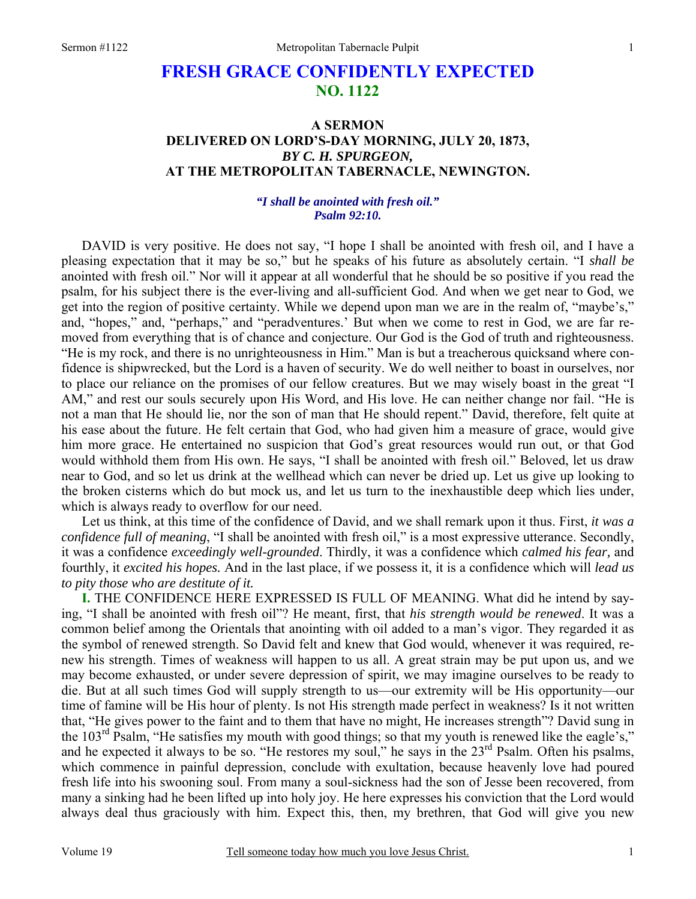# **FRESH GRACE CONFIDENTLY EXPECTED NO. 1122**

# **A SERMON DELIVERED ON LORD'S-DAY MORNING, JULY 20, 1873,**  *BY C. H. SPURGEON,*  **AT THE METROPOLITAN TABERNACLE, NEWINGTON.**

## *"I shall be anointed with fresh oil." Psalm 92:10.*

DAVID is very positive. He does not say, "I hope I shall be anointed with fresh oil, and I have a pleasing expectation that it may be so," but he speaks of his future as absolutely certain. "I *shall be* anointed with fresh oil." Nor will it appear at all wonderful that he should be so positive if you read the psalm, for his subject there is the ever-living and all-sufficient God. And when we get near to God, we get into the region of positive certainty. While we depend upon man we are in the realm of, "maybe's," and, "hopes," and, "perhaps," and "peradventures.' But when we come to rest in God, we are far removed from everything that is of chance and conjecture. Our God is the God of truth and righteousness. "He is my rock, and there is no unrighteousness in Him." Man is but a treacherous quicksand where confidence is shipwrecked, but the Lord is a haven of security. We do well neither to boast in ourselves, nor to place our reliance on the promises of our fellow creatures. But we may wisely boast in the great "I AM," and rest our souls securely upon His Word, and His love. He can neither change nor fail. "He is not a man that He should lie, nor the son of man that He should repent." David, therefore, felt quite at his ease about the future. He felt certain that God, who had given him a measure of grace, would give him more grace. He entertained no suspicion that God's great resources would run out, or that God would withhold them from His own. He says, "I shall be anointed with fresh oil." Beloved, let us draw near to God, and so let us drink at the wellhead which can never be dried up. Let us give up looking to the broken cisterns which do but mock us, and let us turn to the inexhaustible deep which lies under, which is always ready to overflow for our need.

Let us think, at this time of the confidence of David, and we shall remark upon it thus. First, *it was a confidence full of meaning*, "I shall be anointed with fresh oil," is a most expressive utterance. Secondly, it was a confidence *exceedingly well-grounded*. Thirdly, it was a confidence which *calmed his fear,* and fourthly, it *excited his hopes.* And in the last place, if we possess it, it is a confidence which will *lead us to pity those who are destitute of it.* 

**I.** THE CONFIDENCE HERE EXPRESSED IS FULL OF MEANING. What did he intend by saying, "I shall be anointed with fresh oil"? He meant, first, that *his strength would be renewed*. It was a common belief among the Orientals that anointing with oil added to a man's vigor. They regarded it as the symbol of renewed strength. So David felt and knew that God would, whenever it was required, renew his strength. Times of weakness will happen to us all. A great strain may be put upon us, and we may become exhausted, or under severe depression of spirit, we may imagine ourselves to be ready to die. But at all such times God will supply strength to us—our extremity will be His opportunity—our time of famine will be His hour of plenty. Is not His strength made perfect in weakness? Is it not written that, "He gives power to the faint and to them that have no might, He increases strength"? David sung in the  $103<sup>rd</sup>$  Psalm, "He satisfies my mouth with good things; so that my youth is renewed like the eagle's," and he expected it always to be so. "He restores my soul," he says in the 23<sup>rd</sup> Psalm. Often his psalms, which commence in painful depression, conclude with exultation, because heavenly love had poured fresh life into his swooning soul. From many a soul-sickness had the son of Jesse been recovered, from many a sinking had he been lifted up into holy joy. He here expresses his conviction that the Lord would always deal thus graciously with him. Expect this, then, my brethren, that God will give you new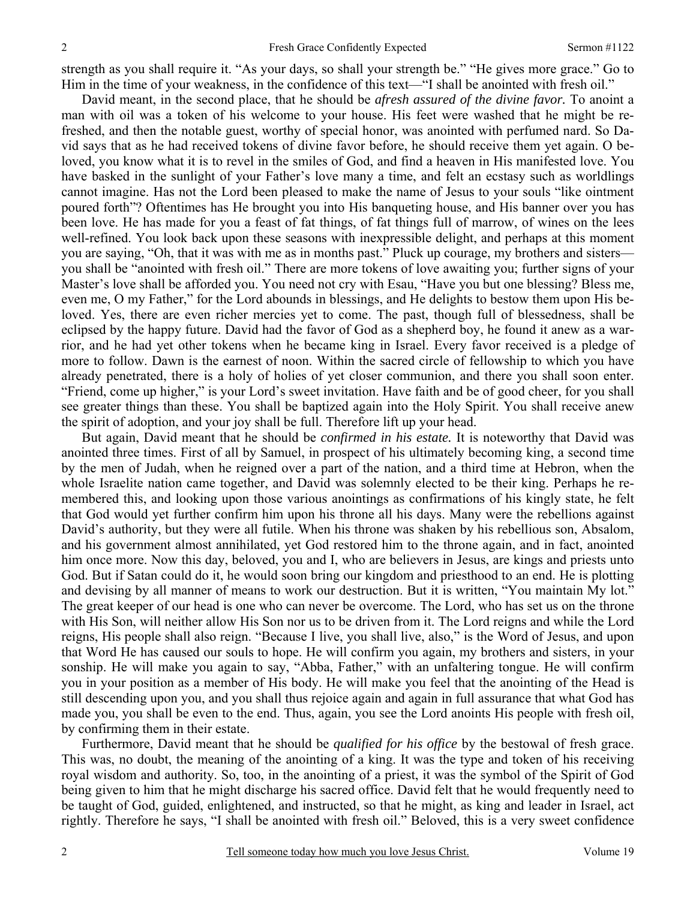strength as you shall require it. "As your days, so shall your strength be." "He gives more grace." Go to Him in the time of your weakness, in the confidence of this text—"I shall be anointed with fresh oil."

David meant, in the second place, that he should be *afresh assured of the divine favor.* To anoint a man with oil was a token of his welcome to your house. His feet were washed that he might be refreshed, and then the notable guest, worthy of special honor, was anointed with perfumed nard. So David says that as he had received tokens of divine favor before, he should receive them yet again. O beloved, you know what it is to revel in the smiles of God, and find a heaven in His manifested love. You have basked in the sunlight of your Father's love many a time, and felt an ecstasy such as worldlings cannot imagine. Has not the Lord been pleased to make the name of Jesus to your souls "like ointment poured forth"? Oftentimes has He brought you into His banqueting house, and His banner over you has been love. He has made for you a feast of fat things, of fat things full of marrow, of wines on the lees well-refined. You look back upon these seasons with inexpressible delight, and perhaps at this moment you are saying, "Oh, that it was with me as in months past." Pluck up courage, my brothers and sisters you shall be "anointed with fresh oil." There are more tokens of love awaiting you; further signs of your Master's love shall be afforded you. You need not cry with Esau, "Have you but one blessing? Bless me, even me, O my Father," for the Lord abounds in blessings, and He delights to bestow them upon His beloved. Yes, there are even richer mercies yet to come. The past, though full of blessedness, shall be eclipsed by the happy future. David had the favor of God as a shepherd boy, he found it anew as a warrior, and he had yet other tokens when he became king in Israel. Every favor received is a pledge of more to follow. Dawn is the earnest of noon. Within the sacred circle of fellowship to which you have already penetrated, there is a holy of holies of yet closer communion, and there you shall soon enter. "Friend, come up higher," is your Lord's sweet invitation. Have faith and be of good cheer, for you shall see greater things than these. You shall be baptized again into the Holy Spirit. You shall receive anew the spirit of adoption, and your joy shall be full. Therefore lift up your head.

But again, David meant that he should be *confirmed in his estate.* It is noteworthy that David was anointed three times. First of all by Samuel, in prospect of his ultimately becoming king, a second time by the men of Judah, when he reigned over a part of the nation, and a third time at Hebron, when the whole Israelite nation came together, and David was solemnly elected to be their king. Perhaps he remembered this, and looking upon those various anointings as confirmations of his kingly state, he felt that God would yet further confirm him upon his throne all his days. Many were the rebellions against David's authority, but they were all futile. When his throne was shaken by his rebellious son, Absalom, and his government almost annihilated, yet God restored him to the throne again, and in fact, anointed him once more. Now this day, beloved, you and I, who are believers in Jesus, are kings and priests unto God. But if Satan could do it, he would soon bring our kingdom and priesthood to an end. He is plotting and devising by all manner of means to work our destruction. But it is written, "You maintain My lot." The great keeper of our head is one who can never be overcome. The Lord, who has set us on the throne with His Son, will neither allow His Son nor us to be driven from it. The Lord reigns and while the Lord reigns, His people shall also reign. "Because I live, you shall live, also," is the Word of Jesus, and upon that Word He has caused our souls to hope. He will confirm you again, my brothers and sisters, in your sonship. He will make you again to say, "Abba, Father," with an unfaltering tongue. He will confirm you in your position as a member of His body. He will make you feel that the anointing of the Head is still descending upon you, and you shall thus rejoice again and again in full assurance that what God has made you, you shall be even to the end. Thus, again, you see the Lord anoints His people with fresh oil, by confirming them in their estate.

Furthermore, David meant that he should be *qualified for his office* by the bestowal of fresh grace. This was, no doubt, the meaning of the anointing of a king. It was the type and token of his receiving royal wisdom and authority. So, too, in the anointing of a priest, it was the symbol of the Spirit of God being given to him that he might discharge his sacred office. David felt that he would frequently need to be taught of God, guided, enlightened, and instructed, so that he might, as king and leader in Israel, act rightly. Therefore he says, "I shall be anointed with fresh oil." Beloved, this is a very sweet confidence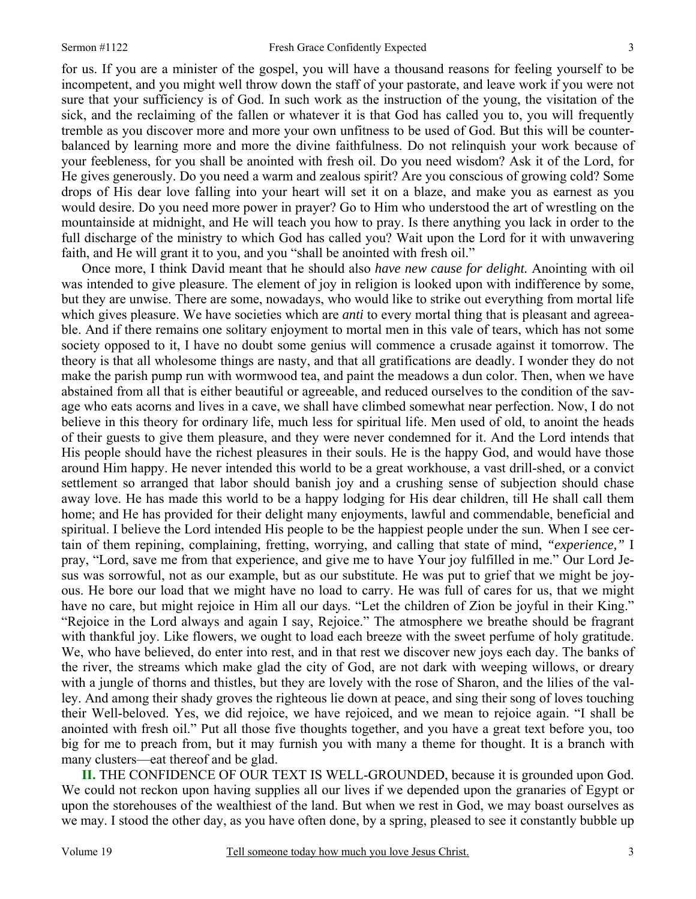for us. If you are a minister of the gospel, you will have a thousand reasons for feeling yourself to be incompetent, and you might well throw down the staff of your pastorate, and leave work if you were not sure that your sufficiency is of God. In such work as the instruction of the young, the visitation of the sick, and the reclaiming of the fallen or whatever it is that God has called you to, you will frequently tremble as you discover more and more your own unfitness to be used of God. But this will be counterbalanced by learning more and more the divine faithfulness. Do not relinquish your work because of your feebleness, for you shall be anointed with fresh oil. Do you need wisdom? Ask it of the Lord, for He gives generously. Do you need a warm and zealous spirit? Are you conscious of growing cold? Some drops of His dear love falling into your heart will set it on a blaze, and make you as earnest as you would desire. Do you need more power in prayer? Go to Him who understood the art of wrestling on the mountainside at midnight, and He will teach you how to pray. Is there anything you lack in order to the full discharge of the ministry to which God has called you? Wait upon the Lord for it with unwavering faith, and He will grant it to you, and you "shall be anointed with fresh oil."

Once more, I think David meant that he should also *have new cause for delight.* Anointing with oil was intended to give pleasure. The element of joy in religion is looked upon with indifference by some, but they are unwise. There are some, nowadays, who would like to strike out everything from mortal life which gives pleasure. We have societies which are *anti* to every mortal thing that is pleasant and agreeable. And if there remains one solitary enjoyment to mortal men in this vale of tears, which has not some society opposed to it, I have no doubt some genius will commence a crusade against it tomorrow. The theory is that all wholesome things are nasty, and that all gratifications are deadly. I wonder they do not make the parish pump run with wormwood tea, and paint the meadows a dun color. Then, when we have abstained from all that is either beautiful or agreeable, and reduced ourselves to the condition of the savage who eats acorns and lives in a cave, we shall have climbed somewhat near perfection. Now, I do not believe in this theory for ordinary life, much less for spiritual life. Men used of old, to anoint the heads of their guests to give them pleasure, and they were never condemned for it. And the Lord intends that His people should have the richest pleasures in their souls. He is the happy God, and would have those around Him happy. He never intended this world to be a great workhouse, a vast drill-shed, or a convict settlement so arranged that labor should banish joy and a crushing sense of subjection should chase away love. He has made this world to be a happy lodging for His dear children, till He shall call them home; and He has provided for their delight many enjoyments, lawful and commendable, beneficial and spiritual. I believe the Lord intended His people to be the happiest people under the sun. When I see certain of them repining, complaining, fretting, worrying, and calling that state of mind, *"experience,"* I pray, "Lord, save me from that experience, and give me to have Your joy fulfilled in me." Our Lord Jesus was sorrowful, not as our example, but as our substitute. He was put to grief that we might be joyous. He bore our load that we might have no load to carry. He was full of cares for us, that we might have no care, but might rejoice in Him all our days. "Let the children of Zion be joyful in their King." "Rejoice in the Lord always and again I say, Rejoice." The atmosphere we breathe should be fragrant with thankful joy. Like flowers, we ought to load each breeze with the sweet perfume of holy gratitude. We, who have believed, do enter into rest, and in that rest we discover new joys each day. The banks of the river, the streams which make glad the city of God, are not dark with weeping willows, or dreary with a jungle of thorns and thistles, but they are lovely with the rose of Sharon, and the lilies of the valley. And among their shady groves the righteous lie down at peace, and sing their song of loves touching their Well-beloved. Yes, we did rejoice, we have rejoiced, and we mean to rejoice again. "I shall be anointed with fresh oil." Put all those five thoughts together, and you have a great text before you, too big for me to preach from, but it may furnish you with many a theme for thought. It is a branch with many clusters—eat thereof and be glad.

**II.** THE CONFIDENCE OF OUR TEXT IS WELL-GROUNDED, because it is grounded upon God. We could not reckon upon having supplies all our lives if we depended upon the granaries of Egypt or upon the storehouses of the wealthiest of the land. But when we rest in God, we may boast ourselves as we may. I stood the other day, as you have often done, by a spring, pleased to see it constantly bubble up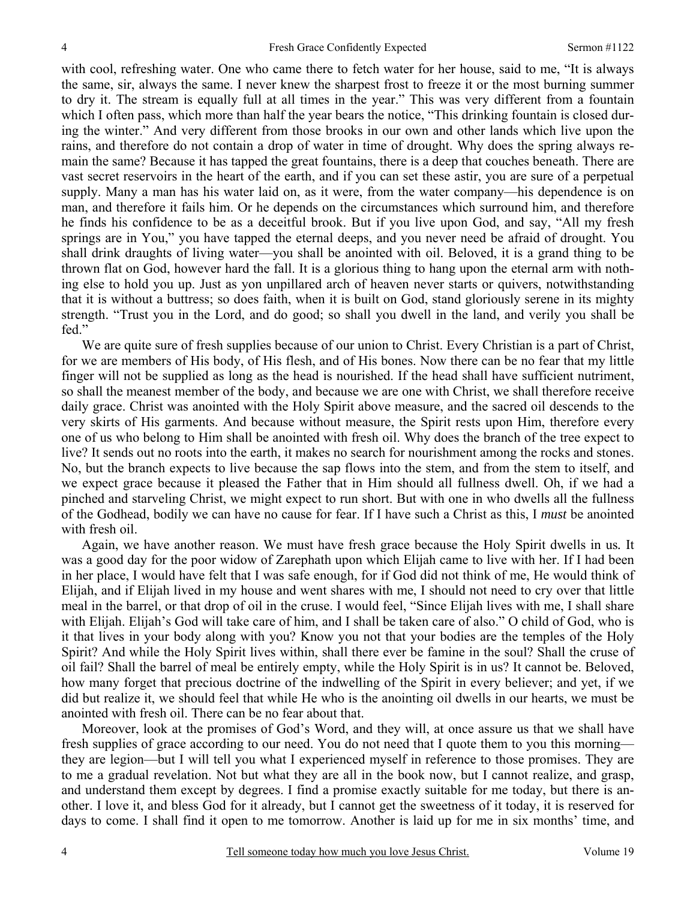with cool, refreshing water. One who came there to fetch water for her house, said to me, "It is always the same, sir, always the same. I never knew the sharpest frost to freeze it or the most burning summer to dry it. The stream is equally full at all times in the year." This was very different from a fountain which I often pass, which more than half the year bears the notice, "This drinking fountain is closed during the winter." And very different from those brooks in our own and other lands which live upon the rains, and therefore do not contain a drop of water in time of drought. Why does the spring always remain the same? Because it has tapped the great fountains, there is a deep that couches beneath. There are vast secret reservoirs in the heart of the earth, and if you can set these astir, you are sure of a perpetual supply. Many a man has his water laid on, as it were, from the water company—his dependence is on man, and therefore it fails him. Or he depends on the circumstances which surround him, and therefore he finds his confidence to be as a deceitful brook. But if you live upon God, and say, "All my fresh springs are in You," you have tapped the eternal deeps, and you never need be afraid of drought. You shall drink draughts of living water—you shall be anointed with oil. Beloved, it is a grand thing to be thrown flat on God, however hard the fall. It is a glorious thing to hang upon the eternal arm with nothing else to hold you up. Just as yon unpillared arch of heaven never starts or quivers, notwithstanding that it is without a buttress; so does faith, when it is built on God, stand gloriously serene in its mighty strength. "Trust you in the Lord, and do good; so shall you dwell in the land, and verily you shall be fed."

We are quite sure of fresh supplies because of our union to Christ. Every Christian is a part of Christ, for we are members of His body, of His flesh, and of His bones. Now there can be no fear that my little finger will not be supplied as long as the head is nourished. If the head shall have sufficient nutriment, so shall the meanest member of the body, and because we are one with Christ, we shall therefore receive daily grace. Christ was anointed with the Holy Spirit above measure, and the sacred oil descends to the very skirts of His garments. And because without measure, the Spirit rests upon Him, therefore every one of us who belong to Him shall be anointed with fresh oil. Why does the branch of the tree expect to live? It sends out no roots into the earth, it makes no search for nourishment among the rocks and stones. No, but the branch expects to live because the sap flows into the stem, and from the stem to itself, and we expect grace because it pleased the Father that in Him should all fullness dwell. Oh, if we had a pinched and starveling Christ, we might expect to run short. But with one in who dwells all the fullness of the Godhead, bodily we can have no cause for fear. If I have such a Christ as this, I *must* be anointed with fresh oil.

Again, we have another reason. We must have fresh grace because the Holy Spirit dwells in us*.* It was a good day for the poor widow of Zarephath upon which Elijah came to live with her. If I had been in her place, I would have felt that I was safe enough, for if God did not think of me, He would think of Elijah, and if Elijah lived in my house and went shares with me, I should not need to cry over that little meal in the barrel, or that drop of oil in the cruse. I would feel, "Since Elijah lives with me, I shall share with Elijah. Elijah's God will take care of him, and I shall be taken care of also." O child of God, who is it that lives in your body along with you? Know you not that your bodies are the temples of the Holy Spirit? And while the Holy Spirit lives within, shall there ever be famine in the soul? Shall the cruse of oil fail? Shall the barrel of meal be entirely empty, while the Holy Spirit is in us? It cannot be. Beloved, how many forget that precious doctrine of the indwelling of the Spirit in every believer; and yet, if we did but realize it, we should feel that while He who is the anointing oil dwells in our hearts, we must be anointed with fresh oil. There can be no fear about that.

Moreover, look at the promises of God's Word, and they will, at once assure us that we shall have fresh supplies of grace according to our need. You do not need that I quote them to you this morning they are legion—but I will tell you what I experienced myself in reference to those promises. They are to me a gradual revelation. Not but what they are all in the book now, but I cannot realize, and grasp, and understand them except by degrees. I find a promise exactly suitable for me today, but there is another. I love it, and bless God for it already, but I cannot get the sweetness of it today, it is reserved for days to come. I shall find it open to me tomorrow. Another is laid up for me in six months' time, and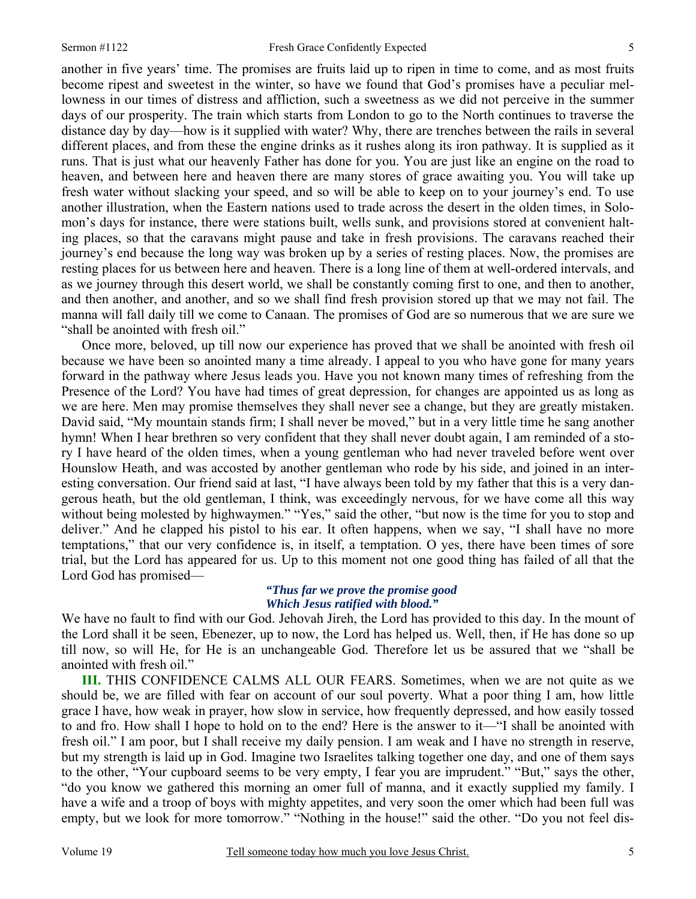another in five years' time. The promises are fruits laid up to ripen in time to come, and as most fruits become ripest and sweetest in the winter, so have we found that God's promises have a peculiar mellowness in our times of distress and affliction, such a sweetness as we did not perceive in the summer days of our prosperity. The train which starts from London to go to the North continues to traverse the distance day by day—how is it supplied with water? Why, there are trenches between the rails in several different places, and from these the engine drinks as it rushes along its iron pathway. It is supplied as it runs. That is just what our heavenly Father has done for you. You are just like an engine on the road to heaven, and between here and heaven there are many stores of grace awaiting you. You will take up fresh water without slacking your speed, and so will be able to keep on to your journey's end. To use another illustration, when the Eastern nations used to trade across the desert in the olden times, in Solomon's days for instance, there were stations built, wells sunk, and provisions stored at convenient halting places, so that the caravans might pause and take in fresh provisions. The caravans reached their journey's end because the long way was broken up by a series of resting places. Now, the promises are resting places for us between here and heaven. There is a long line of them at well-ordered intervals, and as we journey through this desert world, we shall be constantly coming first to one, and then to another, and then another, and another, and so we shall find fresh provision stored up that we may not fail. The manna will fall daily till we come to Canaan. The promises of God are so numerous that we are sure we "shall be anointed with fresh oil."

Once more, beloved, up till now our experience has proved that we shall be anointed with fresh oil because we have been so anointed many a time already. I appeal to you who have gone for many years forward in the pathway where Jesus leads you. Have you not known many times of refreshing from the Presence of the Lord? You have had times of great depression, for changes are appointed us as long as we are here. Men may promise themselves they shall never see a change, but they are greatly mistaken. David said, "My mountain stands firm; I shall never be moved," but in a very little time he sang another hymn! When I hear brethren so very confident that they shall never doubt again, I am reminded of a story I have heard of the olden times, when a young gentleman who had never traveled before went over Hounslow Heath, and was accosted by another gentleman who rode by his side, and joined in an interesting conversation. Our friend said at last, "I have always been told by my father that this is a very dangerous heath, but the old gentleman, I think, was exceedingly nervous, for we have come all this way without being molested by highwaymen." "Yes," said the other, "but now is the time for you to stop and deliver." And he clapped his pistol to his ear. It often happens, when we say, "I shall have no more temptations," that our very confidence is, in itself, a temptation. O yes, there have been times of sore trial, but the Lord has appeared for us. Up to this moment not one good thing has failed of all that the Lord God has promised—

## *"Thus far we prove the promise good Which Jesus ratified with blood."*

We have no fault to find with our God. Jehovah Jireh, the Lord has provided to this day. In the mount of the Lord shall it be seen, Ebenezer, up to now, the Lord has helped us. Well, then, if He has done so up till now, so will He, for He is an unchangeable God. Therefore let us be assured that we "shall be anointed with fresh oil."

**III.** THIS CONFIDENCE CALMS ALL OUR FEARS. Sometimes, when we are not quite as we should be, we are filled with fear on account of our soul poverty. What a poor thing I am, how little grace I have, how weak in prayer, how slow in service, how frequently depressed, and how easily tossed to and fro. How shall I hope to hold on to the end? Here is the answer to it—"I shall be anointed with fresh oil." I am poor, but I shall receive my daily pension. I am weak and I have no strength in reserve, but my strength is laid up in God. Imagine two Israelites talking together one day, and one of them says to the other, "Your cupboard seems to be very empty, I fear you are imprudent." "But," says the other, "do you know we gathered this morning an omer full of manna, and it exactly supplied my family. I have a wife and a troop of boys with mighty appetites, and very soon the omer which had been full was empty, but we look for more tomorrow." "Nothing in the house!" said the other. "Do you not feel dis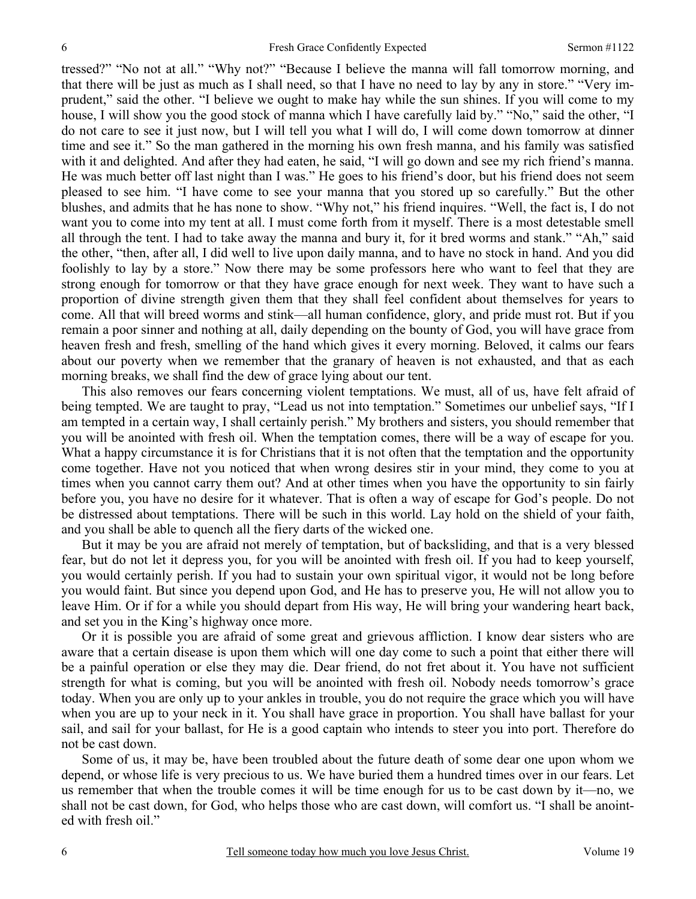tressed?" "No not at all." "Why not?" "Because I believe the manna will fall tomorrow morning, and that there will be just as much as I shall need, so that I have no need to lay by any in store." "Very imprudent," said the other. "I believe we ought to make hay while the sun shines. If you will come to my house, I will show you the good stock of manna which I have carefully laid by." "No," said the other, "I do not care to see it just now, but I will tell you what I will do, I will come down tomorrow at dinner time and see it." So the man gathered in the morning his own fresh manna, and his family was satisfied with it and delighted. And after they had eaten, he said, "I will go down and see my rich friend's manna. He was much better off last night than I was." He goes to his friend's door, but his friend does not seem pleased to see him. "I have come to see your manna that you stored up so carefully." But the other blushes, and admits that he has none to show. "Why not," his friend inquires. "Well, the fact is, I do not want you to come into my tent at all. I must come forth from it myself. There is a most detestable smell all through the tent. I had to take away the manna and bury it, for it bred worms and stank." "Ah," said the other, "then, after all, I did well to live upon daily manna, and to have no stock in hand. And you did foolishly to lay by a store." Now there may be some professors here who want to feel that they are strong enough for tomorrow or that they have grace enough for next week. They want to have such a proportion of divine strength given them that they shall feel confident about themselves for years to come. All that will breed worms and stink—all human confidence, glory, and pride must rot. But if you remain a poor sinner and nothing at all, daily depending on the bounty of God, you will have grace from heaven fresh and fresh, smelling of the hand which gives it every morning. Beloved, it calms our fears about our poverty when we remember that the granary of heaven is not exhausted, and that as each morning breaks, we shall find the dew of grace lying about our tent.

This also removes our fears concerning violent temptations. We must, all of us, have felt afraid of being tempted. We are taught to pray, "Lead us not into temptation." Sometimes our unbelief says, "If I am tempted in a certain way, I shall certainly perish." My brothers and sisters, you should remember that you will be anointed with fresh oil. When the temptation comes, there will be a way of escape for you. What a happy circumstance it is for Christians that it is not often that the temptation and the opportunity come together. Have not you noticed that when wrong desires stir in your mind, they come to you at times when you cannot carry them out? And at other times when you have the opportunity to sin fairly before you, you have no desire for it whatever. That is often a way of escape for God's people. Do not be distressed about temptations. There will be such in this world. Lay hold on the shield of your faith, and you shall be able to quench all the fiery darts of the wicked one.

But it may be you are afraid not merely of temptation, but of backsliding, and that is a very blessed fear, but do not let it depress you, for you will be anointed with fresh oil. If you had to keep yourself, you would certainly perish. If you had to sustain your own spiritual vigor, it would not be long before you would faint. But since you depend upon God, and He has to preserve you, He will not allow you to leave Him. Or if for a while you should depart from His way, He will bring your wandering heart back, and set you in the King's highway once more.

Or it is possible you are afraid of some great and grievous affliction. I know dear sisters who are aware that a certain disease is upon them which will one day come to such a point that either there will be a painful operation or else they may die. Dear friend, do not fret about it. You have not sufficient strength for what is coming, but you will be anointed with fresh oil. Nobody needs tomorrow's grace today. When you are only up to your ankles in trouble, you do not require the grace which you will have when you are up to your neck in it. You shall have grace in proportion. You shall have ballast for your sail, and sail for your ballast, for He is a good captain who intends to steer you into port. Therefore do not be cast down.

Some of us, it may be, have been troubled about the future death of some dear one upon whom we depend, or whose life is very precious to us. We have buried them a hundred times over in our fears. Let us remember that when the trouble comes it will be time enough for us to be cast down by it—no, we shall not be cast down, for God, who helps those who are cast down, will comfort us. "I shall be anointed with fresh oil."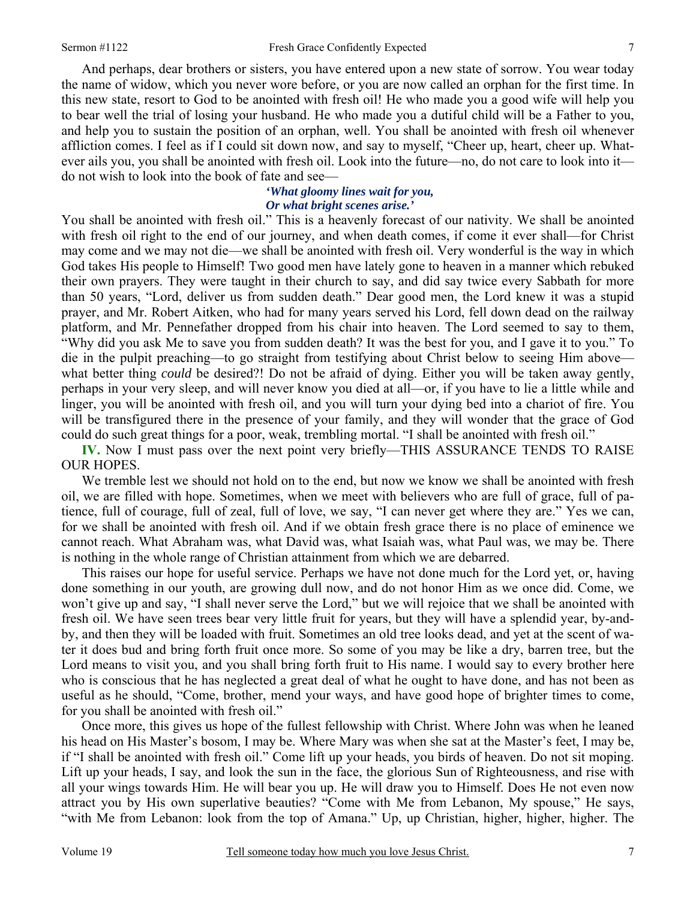And perhaps, dear brothers or sisters, you have entered upon a new state of sorrow. You wear today the name of widow, which you never wore before, or you are now called an orphan for the first time. In this new state, resort to God to be anointed with fresh oil! He who made you a good wife will help you to bear well the trial of losing your husband. He who made you a dutiful child will be a Father to you, and help you to sustain the position of an orphan, well. You shall be anointed with fresh oil whenever affliction comes. I feel as if I could sit down now, and say to myself, "Cheer up, heart, cheer up. Whatever ails you, you shall be anointed with fresh oil. Look into the future—no, do not care to look into it do not wish to look into the book of fate and see—

#### *'What gloomy lines wait for you, Or what bright scenes arise.'*

You shall be anointed with fresh oil." This is a heavenly forecast of our nativity. We shall be anointed with fresh oil right to the end of our journey, and when death comes, if come it ever shall—for Christ may come and we may not die—we shall be anointed with fresh oil. Very wonderful is the way in which God takes His people to Himself! Two good men have lately gone to heaven in a manner which rebuked their own prayers. They were taught in their church to say, and did say twice every Sabbath for more than 50 years, "Lord, deliver us from sudden death." Dear good men, the Lord knew it was a stupid prayer, and Mr. Robert Aitken, who had for many years served his Lord, fell down dead on the railway platform, and Mr. Pennefather dropped from his chair into heaven. The Lord seemed to say to them, "Why did you ask Me to save you from sudden death? It was the best for you, and I gave it to you." To die in the pulpit preaching—to go straight from testifying about Christ below to seeing Him above what better thing *could* be desired?! Do not be afraid of dying. Either you will be taken away gently, perhaps in your very sleep, and will never know you died at all—or, if you have to lie a little while and linger, you will be anointed with fresh oil, and you will turn your dying bed into a chariot of fire. You will be transfigured there in the presence of your family, and they will wonder that the grace of God could do such great things for a poor, weak, trembling mortal. "I shall be anointed with fresh oil."

**IV.** Now I must pass over the next point very briefly—THIS ASSURANCE TENDS TO RAISE OUR HOPES.

We tremble lest we should not hold on to the end, but now we know we shall be anointed with fresh oil, we are filled with hope. Sometimes, when we meet with believers who are full of grace, full of patience, full of courage, full of zeal, full of love, we say, "I can never get where they are." Yes we can, for we shall be anointed with fresh oil. And if we obtain fresh grace there is no place of eminence we cannot reach. What Abraham was, what David was, what Isaiah was, what Paul was, we may be. There is nothing in the whole range of Christian attainment from which we are debarred.

This raises our hope for useful service. Perhaps we have not done much for the Lord yet, or, having done something in our youth, are growing dull now, and do not honor Him as we once did. Come, we won't give up and say, "I shall never serve the Lord," but we will rejoice that we shall be anointed with fresh oil. We have seen trees bear very little fruit for years, but they will have a splendid year, by-andby, and then they will be loaded with fruit. Sometimes an old tree looks dead, and yet at the scent of water it does bud and bring forth fruit once more. So some of you may be like a dry, barren tree, but the Lord means to visit you, and you shall bring forth fruit to His name. I would say to every brother here who is conscious that he has neglected a great deal of what he ought to have done, and has not been as useful as he should, "Come, brother, mend your ways, and have good hope of brighter times to come, for you shall be anointed with fresh oil."

Once more, this gives us hope of the fullest fellowship with Christ. Where John was when he leaned his head on His Master's bosom, I may be. Where Mary was when she sat at the Master's feet, I may be, if "I shall be anointed with fresh oil." Come lift up your heads, you birds of heaven. Do not sit moping. Lift up your heads, I say, and look the sun in the face, the glorious Sun of Righteousness, and rise with all your wings towards Him. He will bear you up. He will draw you to Himself. Does He not even now attract you by His own superlative beauties? "Come with Me from Lebanon, My spouse," He says, "with Me from Lebanon: look from the top of Amana." Up, up Christian, higher, higher, higher. The

7